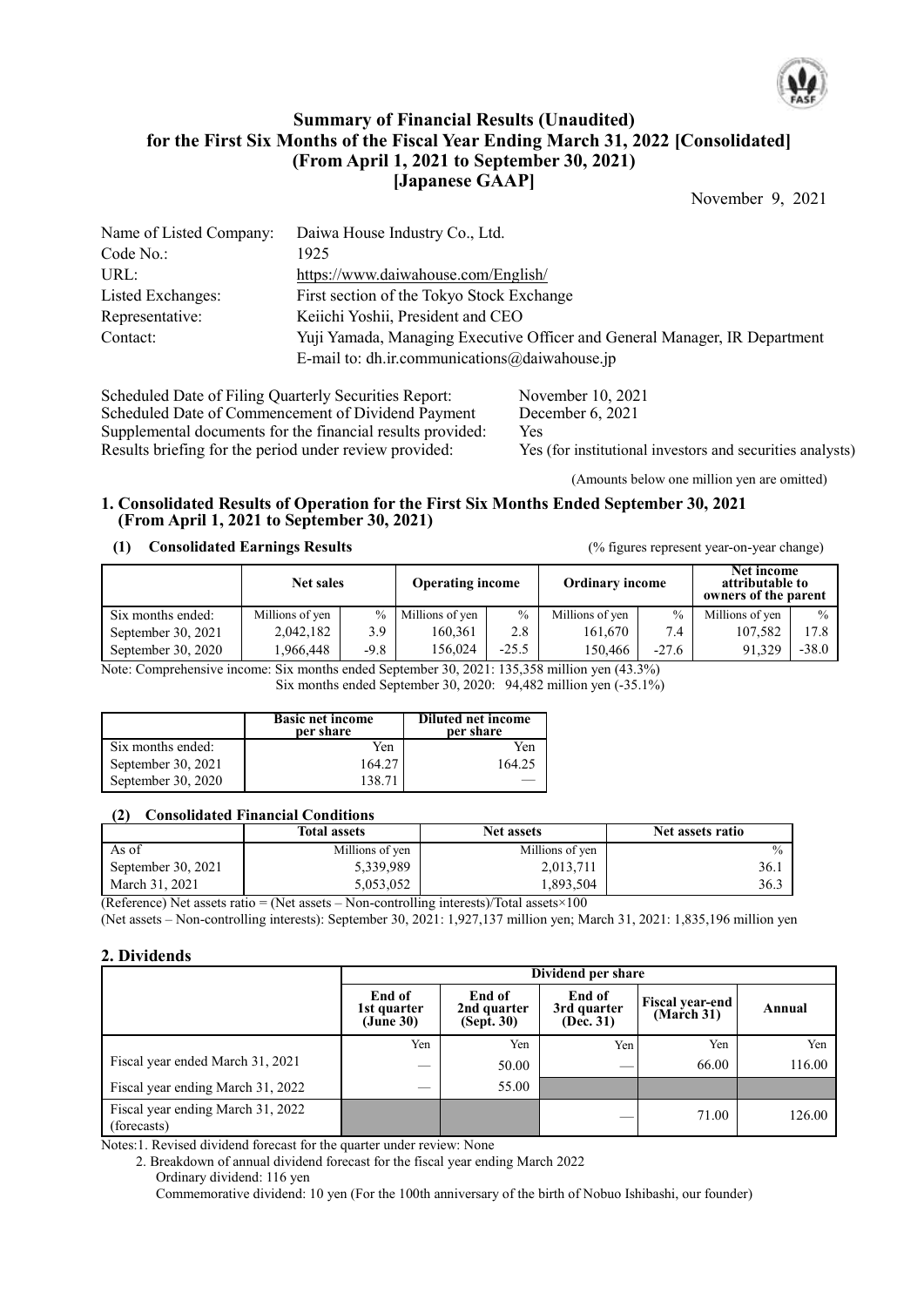

## **Summary of Financial Results (Unaudited) for the First Six Months of the Fiscal Year Ending March 31, 2022 [Consolidated] (From April 1, 2021 to September 30, 2021) [Japanese GAAP]**

November 9, 2021

| Name of Listed Company: | Daiwa House Industry Co., Ltd.                                             |
|-------------------------|----------------------------------------------------------------------------|
| Code No.:               | 1925                                                                       |
| URL:                    | https://www.daiwahouse.com/English/                                        |
| Listed Exchanges:       | First section of the Tokyo Stock Exchange                                  |
| Representative:         | Keiichi Yoshii, President and CEO                                          |
| Contact:                | Yuji Yamada, Managing Executive Officer and General Manager, IR Department |
|                         | E-mail to: dh.ir.communications $@$ daiwahouse.jp                          |

Scheduled Date of Filing Quarterly Securities Report: November 10, 2021<br>Scheduled Date of Commencement of Dividend Payment December 6, 2021 Scheduled Date of Commencement of Dividend Payment Dec<br>Supplemental documents for the financial results provided: Yes Supplemental documents for the financial results provided:<br>
Results briefing for the period under review provided:<br>
Yes (for institutional investors and securities analysts) Results briefing for the period under review provided:

(Amounts below one million yen are omitted)

### **1. Consolidated Results of Operation for the First Six Months Ended September 30, 2021 (From April 1, 2021 to September 30, 2021)**

### **(1) Consolidated Earnings Results** (% figures represent year-on-year change)

|                      | <b>Net sales</b> |        | <b>Operating income</b> |               | <b>Ordinary income</b> |               | Net income<br>attributable to<br>owners of the parent |               |
|----------------------|------------------|--------|-------------------------|---------------|------------------------|---------------|-------------------------------------------------------|---------------|
| Six months ended:    | Millions of yen  | $\%$   | Millions of yen         | $\frac{0}{0}$ | Millions of yen        | $\frac{0}{0}$ | Millions of yen                                       | $\frac{0}{0}$ |
| September 30, 2021   | 2,042,182        | 3.9    | 160.361                 | 2.8           | 161.670                | 7.4           | 107.582                                               | 17.8          |
| September 30, $2020$ | 966,448          | $-9.8$ | 156.024                 | $-25.5$       | 150.466                | $-27.6$       | 91.329                                                | $-38.0$       |

Note: Comprehensive income: Six months ended September 30, 2021: 135,358 million yen (43.3%)

Six months ended September 30, 2020: 94,482 million yen (-35.1%)

|                    | <b>Basic net income</b><br>per share | <b>Diluted net income</b><br>per share |
|--------------------|--------------------------------------|----------------------------------------|
| Six months ended:  | Yen                                  | Yen                                    |
| September 30, 2021 | 164.27                               | 164.25                                 |
| September 30, 2020 | 138 71                               |                                        |

### **(2) Consolidated Financial Conditions**

|                    | <b>Total assets</b> | <b>Net assets</b> | Net assets ratio |
|--------------------|---------------------|-------------------|------------------|
| As of              | Millions of yen     | Millions of yen   | $\frac{0}{0}$    |
| September 30, 2021 | 5,339,989           | 2,013,711         | 36.1             |
| March 31, 2021     | 5,053,052           | 1,893,504         | 36.3             |

(Reference) Net assets ratio = (Net assets – Non-controlling interests)/Total assets×100

(Net assets – Non-controlling interests): September 30, 2021: 1,927,137 million yen; March 31, 2021: 1,835,196 million yen

### **2. Dividends**

|                                                  | Dividend per share                 |                                               |                                    |                                      |        |  |  |
|--------------------------------------------------|------------------------------------|-----------------------------------------------|------------------------------------|--------------------------------------|--------|--|--|
|                                                  | End of<br>1st quarter<br>(June 30) | End of<br>2nd quarter<br>$(Sep\tilde{t}, 30)$ | End of<br>3rd quarter<br>(Dec. 31) | <b>Fiscal year-end</b><br>(March 31) | Annual |  |  |
|                                                  | Yen                                | Yen                                           | Yen                                | Yen                                  | Yen    |  |  |
| Fiscal year ended March 31, 2021                 | $\overline{\phantom{a}}$           | 50.00                                         |                                    | 66.00                                | 116.00 |  |  |
| Fiscal year ending March 31, 2022                | $\overline{\phantom{a}}$           | 55.00                                         |                                    |                                      |        |  |  |
| Fiscal year ending March 31, 2022<br>(forecasts) |                                    |                                               |                                    | 71.00                                | 126.00 |  |  |

Notes:1. Revised dividend forecast for the quarter under review: None

2. Breakdown of annual dividend forecast for the fiscal year ending March 2022

Ordinary dividend: 116 yen Commemorative dividend: 10 yen (For the 100th anniversary of the birth of Nobuo Ishibashi, our founder)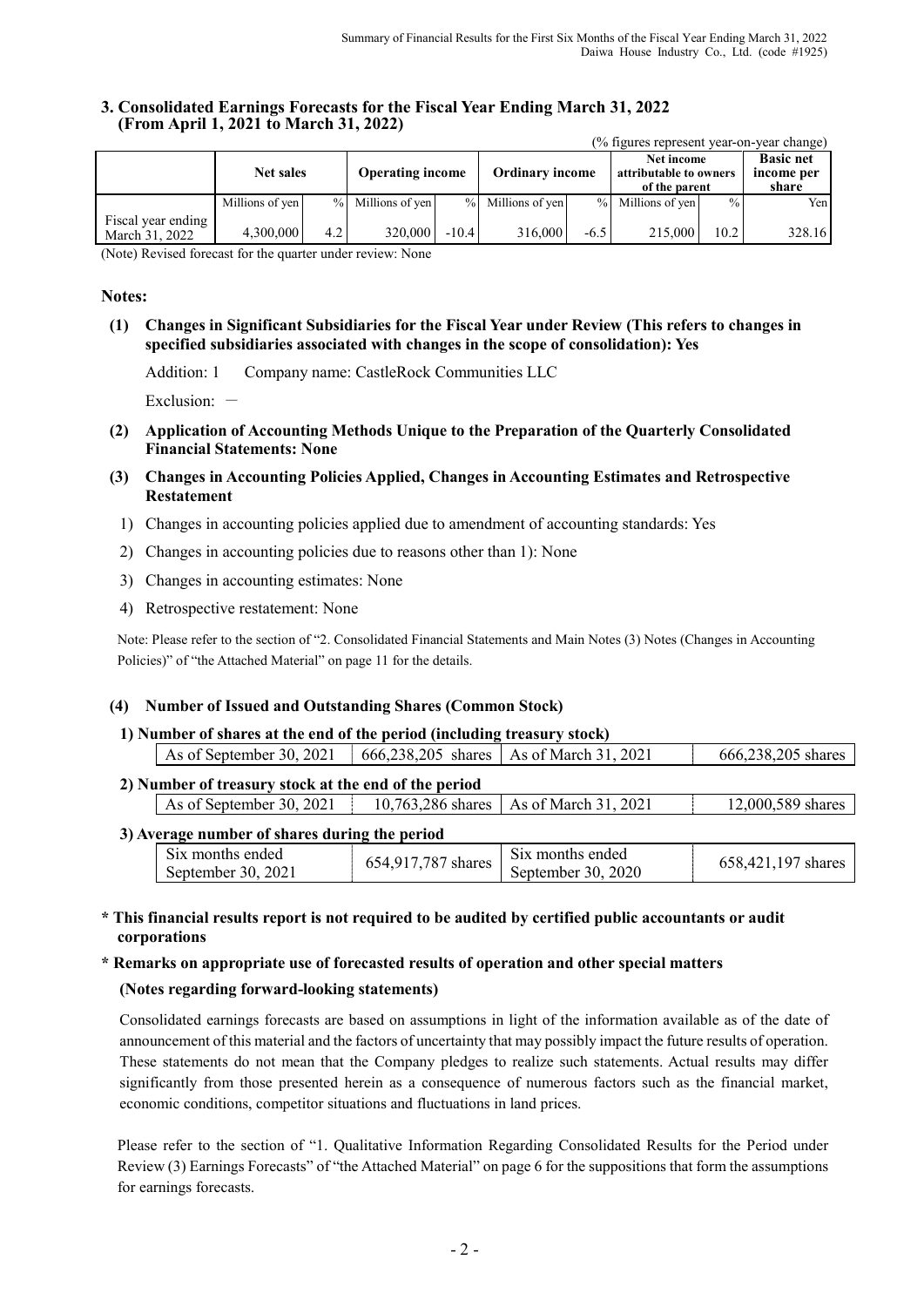### **3. Consolidated Earnings Forecasts for the Fiscal Year Ending March 31, 2022 (From April 1, 2021 to March 31, 2022)**

|                                      |                  |      |                         |         |                        |        | (% figures represent year-on-year change)             |               |                                         |
|--------------------------------------|------------------|------|-------------------------|---------|------------------------|--------|-------------------------------------------------------|---------------|-----------------------------------------|
|                                      | <b>Net sales</b> |      | <b>Operating income</b> |         | <b>Ordinary income</b> |        | Net income<br>attributable to owners<br>of the parent |               | <b>Basic net</b><br>income per<br>share |
|                                      | Millions of yen  | $\%$ | Millions of yen         |         | % Millions of yen      |        | % Millions of yen                                     | $\frac{0}{0}$ | Yen l                                   |
| Fiscal year ending<br>March 31, 2022 | 4,300,000        | 4.2  | 320,000                 | $-10.4$ | 316,000                | $-6.5$ | 215,000                                               | 10.2          | 328.16                                  |

(Note) Revised forecast for the quarter under review: None

### **Notes:**

**(1) Changes in Significant Subsidiaries for the Fiscal Year under Review (This refers to changes in specified subsidiaries associated with changes in the scope of consolidation): Yes**

Addition: 1 Company name: CastleRock Communities LLC

Exclusion:  $-$ 

- **(2) Application of Accounting Methods Unique to the Preparation of the Quarterly Consolidated Financial Statements: None**
- **(3) Changes in Accounting Policies Applied, Changes in Accounting Estimates and Retrospective Restatement**
	- 1) Changes in accounting policies applied due to amendment of accounting standards: Yes
	- 2) Changes in accounting policies due to reasons other than 1): None
	- 3) Changes in accounting estimates: None
	- 4) Retrospective restatement: None

Note: Please refer to the section of "2. Consolidated Financial Statements and Main Notes (3) Notes (Changes in Accounting Policies)" of "the Attached Material" on page 11 for the details.

### **(4) Number of Issued and Outstanding Shares (Common Stock)**

#### **1) Number of shares at the end of the period (including treasury stock)** As of September 30, 2021 666,238,205 shares As of March 31, 2021 666,238,205 shares

| 2) Number of treasury stock at the end of the period |                                          |                   |
|------------------------------------------------------|------------------------------------------|-------------------|
| As of September 30, 2021                             | 10,763,286 shares   As of March 31, 2021 | 12,000,589 shares |

#### **3) Average number of shares during the period**

| .                                                  |                           |                                                       |                       |
|----------------------------------------------------|---------------------------|-------------------------------------------------------|-----------------------|
| S <sub>1X</sub> months ended<br>September 30, 2021 | .787<br>654 Q11<br>shares | S <sub>1X</sub> months ended<br>September 30.<br>2020 | 658,421,197<br>shares |

### **\* This financial results report is not required to be audited by certified public accountants or audit corporations**

#### **\* Remarks on appropriate use of forecasted results of operation and other special matters**

### **(Notes regarding forward-looking statements)**

Consolidated earnings forecasts are based on assumptions in light of the information available as of the date of announcement of this material and the factors of uncertainty that may possibly impact the future results of operation. These statements do not mean that the Company pledges to realize such statements. Actual results may differ significantly from those presented herein as a consequence of numerous factors such as the financial market, economic conditions, competitor situations and fluctuations in land prices.

Please refer to the section of "1. Qualitative Information Regarding Consolidated Results for the Period under Review (3) Earnings Forecasts" of "the Attached Material" on page 6 for the suppositions that form the assumptions for earnings forecasts.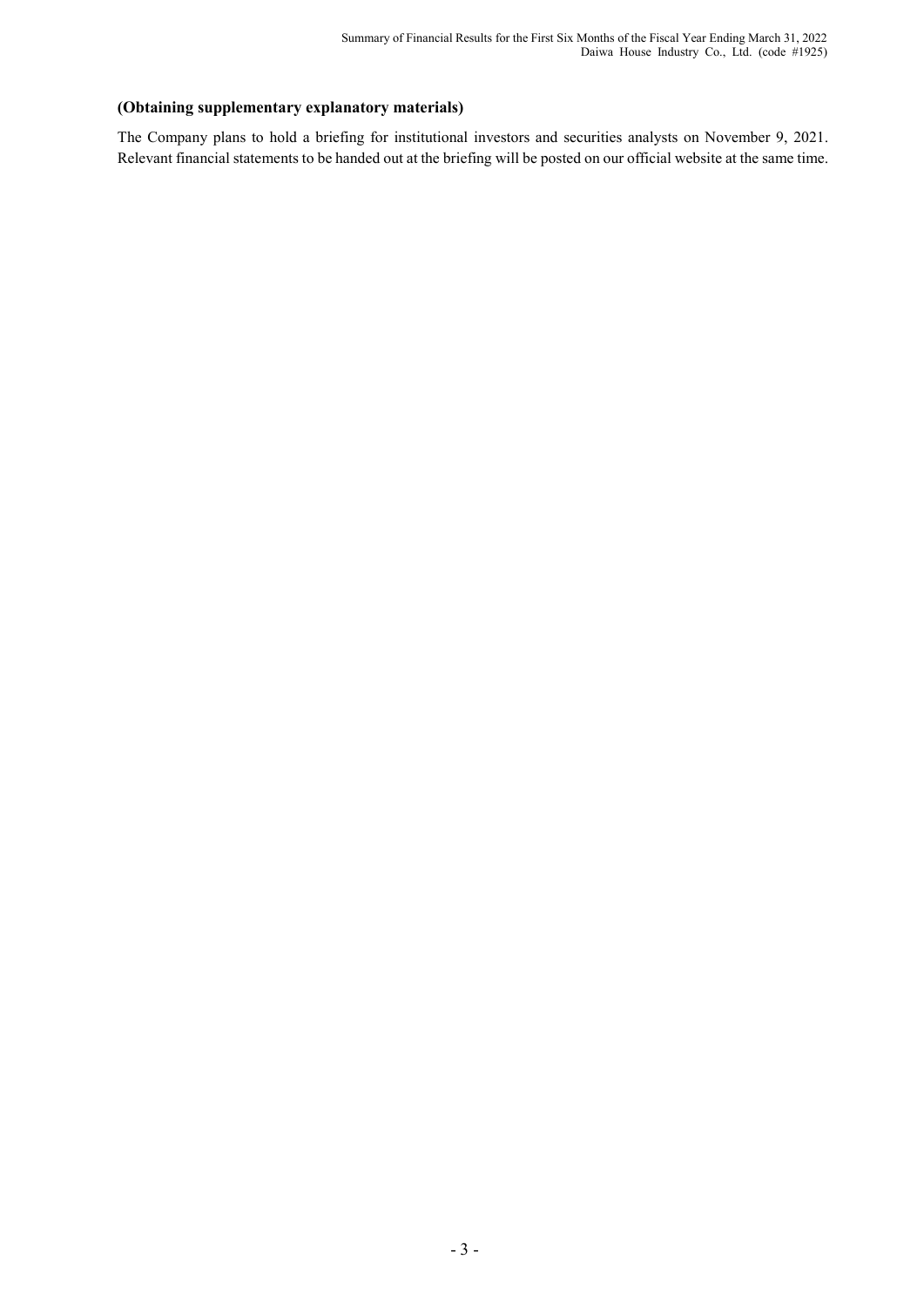## **(Obtaining supplementary explanatory materials)**

The Company plans to hold a briefing for institutional investors and securities analysts on November 9, 2021. Relevant financial statements to be handed out at the briefing will be posted on our official website at the same time.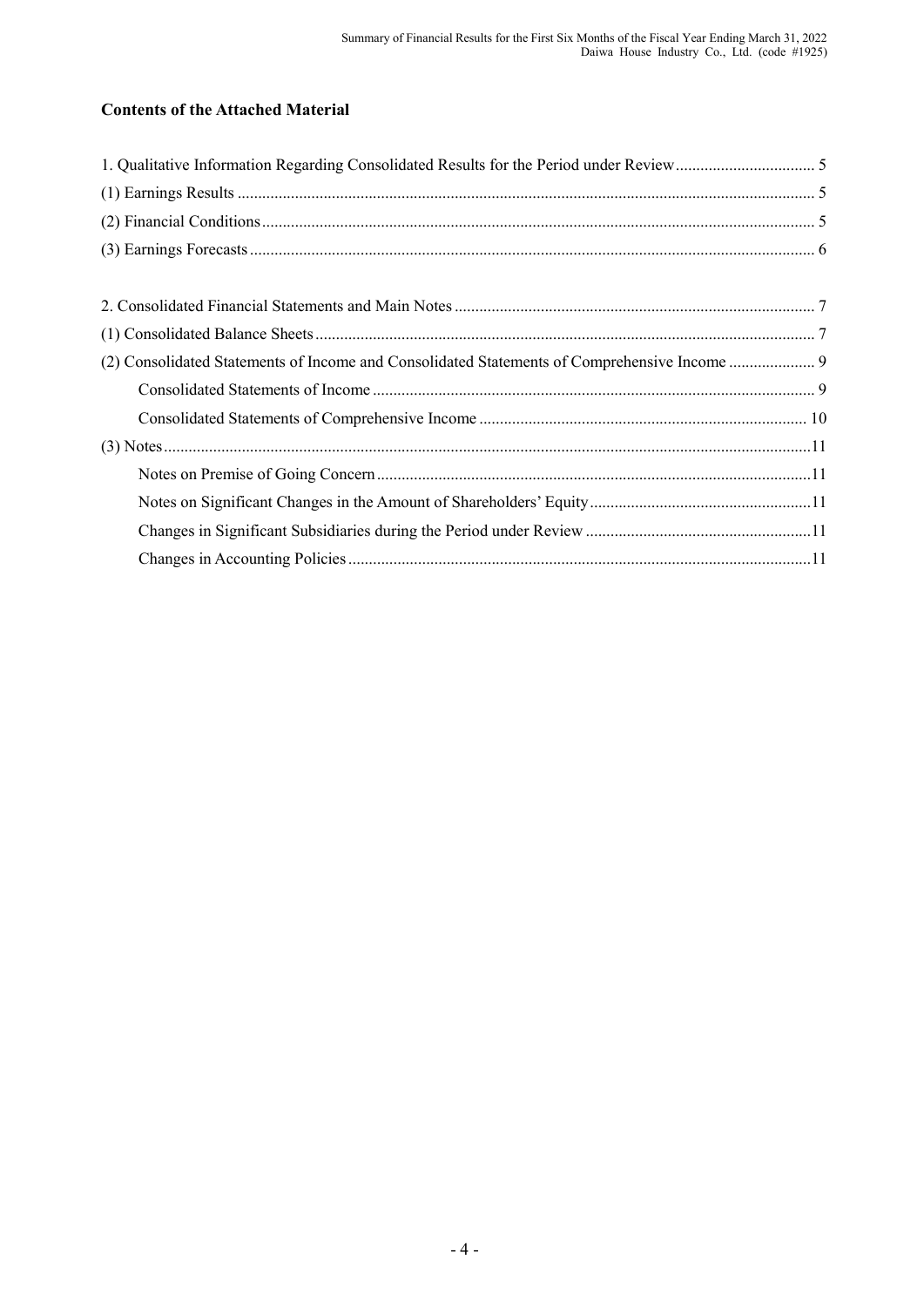# **Contents of the Attached Material**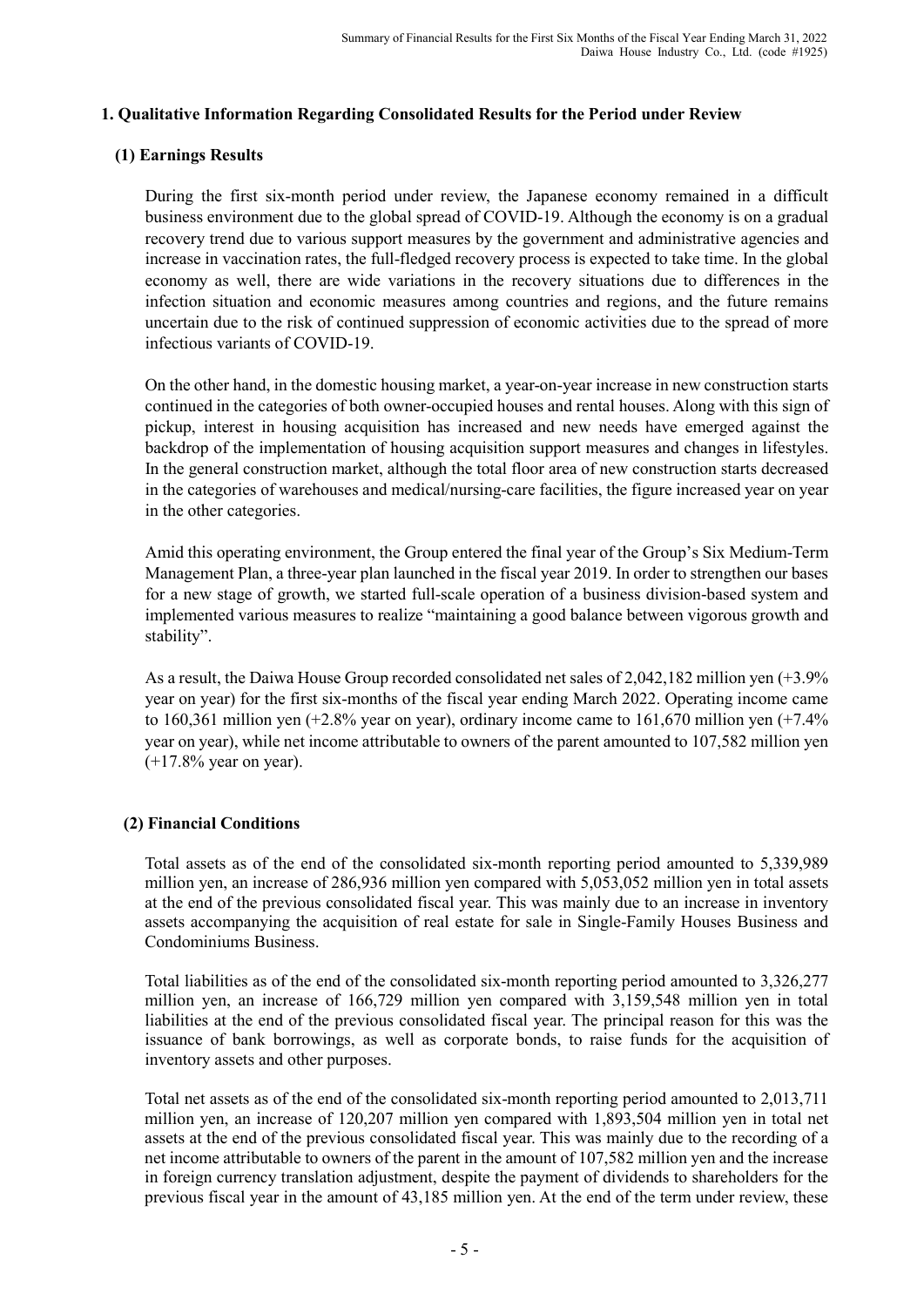## **1. Qualitative Information Regarding Consolidated Results for the Period under Review**

## **(1) Earnings Results**

During the first six-month period under review, the Japanese economy remained in a difficult business environment due to the global spread of COVID-19. Although the economy is on a gradual recovery trend due to various support measures by the government and administrative agencies and increase in vaccination rates, the full-fledged recovery process is expected to take time. In the global economy as well, there are wide variations in the recovery situations due to differences in the infection situation and economic measures among countries and regions, and the future remains uncertain due to the risk of continued suppression of economic activities due to the spread of more infectious variants of COVID-19.

On the other hand, in the domestic housing market, a year-on-year increase in new construction starts continued in the categories of both owner-occupied houses and rental houses. Along with this sign of pickup, interest in housing acquisition has increased and new needs have emerged against the backdrop of the implementation of housing acquisition support measures and changes in lifestyles. In the general construction market, although the total floor area of new construction starts decreased in the categories of warehouses and medical/nursing-care facilities, the figure increased year on year in the other categories.

Amid this operating environment, the Group entered the final year of the Group's Six Medium-Term Management Plan, a three-year plan launched in the fiscal year 2019. In order to strengthen our bases for a new stage of growth, we started full-scale operation of a business division-based system and implemented various measures to realize "maintaining a good balance between vigorous growth and stability".

As a result, the Daiwa House Group recorded consolidated net sales of 2,042,182 million yen (+3.9% year on year) for the first six-months of the fiscal year ending March 2022. Operating income came to 160,361 million yen (+2.8% year on year), ordinary income came to 161,670 million yen (+7.4% year on year), while net income attributable to owners of the parent amounted to 107,582 million yen (+17.8% year on year).

## **(2) Financial Conditions**

Total assets as of the end of the consolidated six-month reporting period amounted to 5,339,989 million yen, an increase of 286,936 million yen compared with 5,053,052 million yen in total assets at the end of the previous consolidated fiscal year. This was mainly due to an increase in inventory assets accompanying the acquisition of real estate for sale in Single-Family Houses Business and Condominiums Business.

Total liabilities as of the end of the consolidated six-month reporting period amounted to 3,326,277 million yen, an increase of 166,729 million yen compared with 3,159,548 million yen in total liabilities at the end of the previous consolidated fiscal year. The principal reason for this was the issuance of bank borrowings, as well as corporate bonds, to raise funds for the acquisition of inventory assets and other purposes.

Total net assets as of the end of the consolidated six-month reporting period amounted to 2,013,711 million yen, an increase of 120,207 million yen compared with 1,893,504 million yen in total net assets at the end of the previous consolidated fiscal year. This was mainly due to the recording of a net income attributable to owners of the parent in the amount of 107,582 million yen and the increase in foreign currency translation adjustment, despite the payment of dividends to shareholders for the previous fiscal year in the amount of 43,185 million yen. At the end of the term under review, these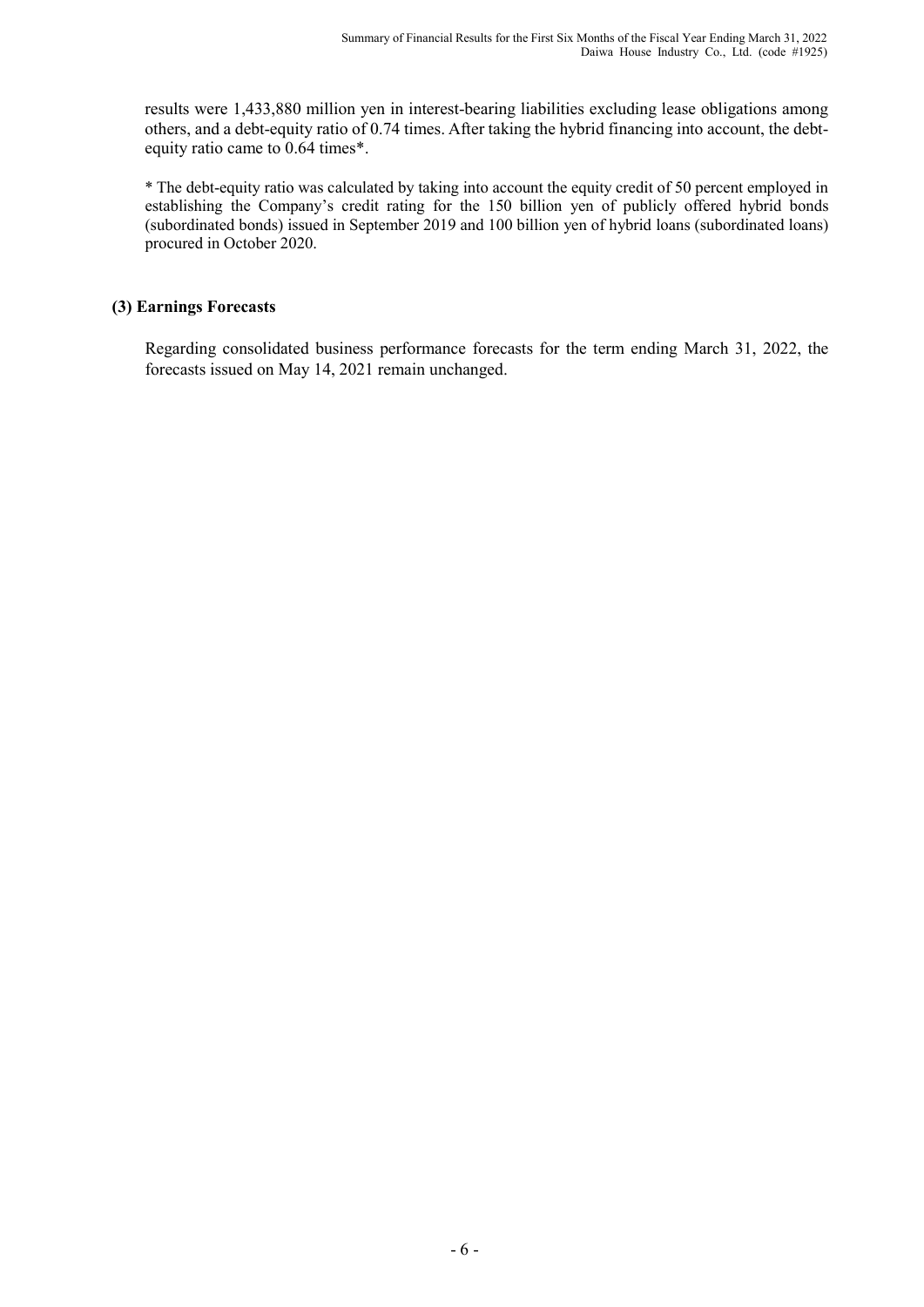results were 1,433,880 million yen in interest-bearing liabilities excluding lease obligations among others, and a debt-equity ratio of 0.74 times. After taking the hybrid financing into account, the debtequity ratio came to 0.64 times\*.

\* The debt-equity ratio was calculated by taking into account the equity credit of 50 percent employed in establishing the Company's credit rating for the 150 billion yen of publicly offered hybrid bonds (subordinated bonds) issued in September 2019 and 100 billion yen of hybrid loans (subordinated loans) procured in October 2020.

## **(3) Earnings Forecasts**

Regarding consolidated business performance forecasts for the term ending March 31, 2022, the forecasts issued on May 14, 2021 remain unchanged.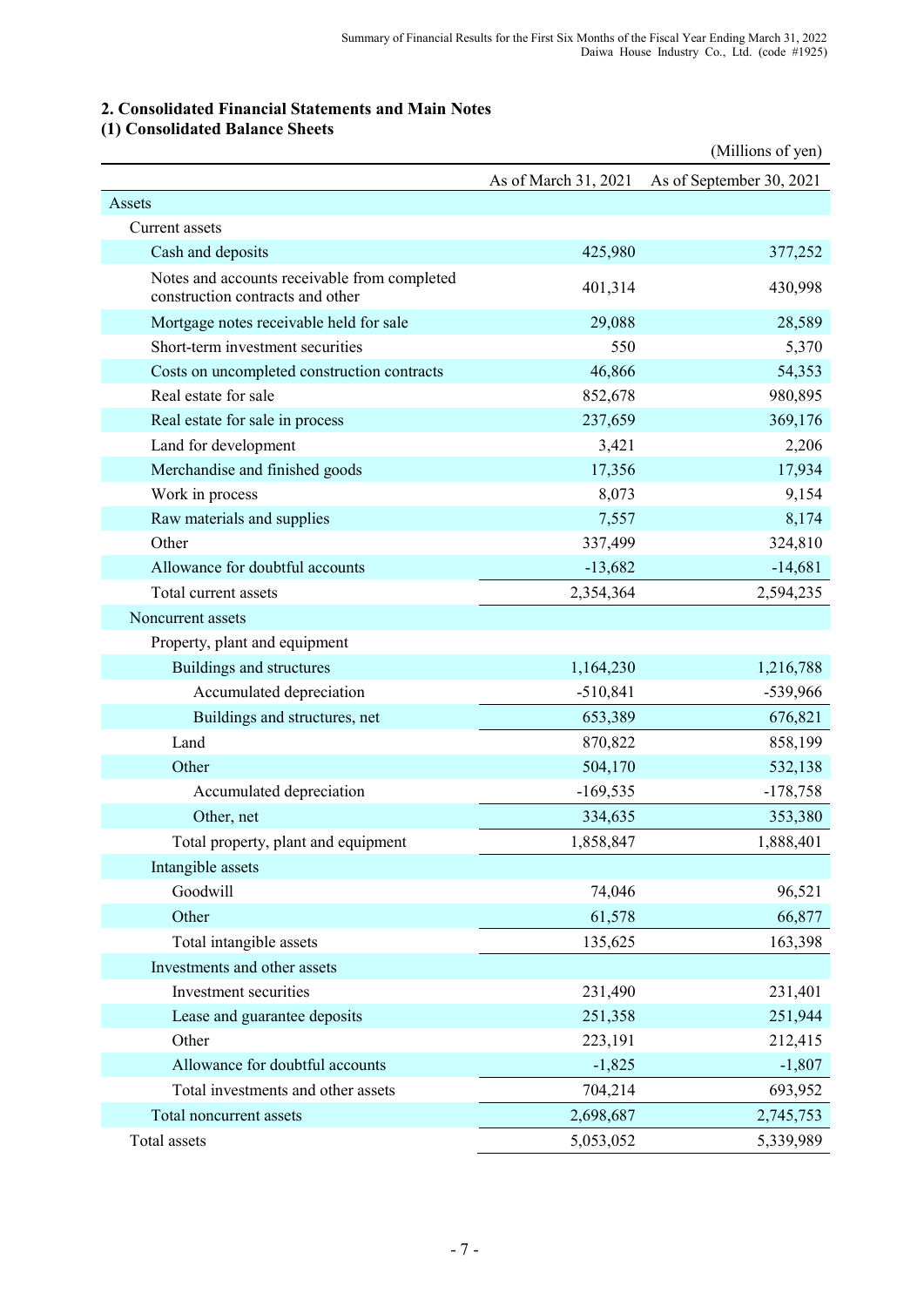## **2. Consolidated Financial Statements and Main Notes**

## **(1) Consolidated Balance Sheets**

|                                                                                  |                      | (Millions of yen)        |
|----------------------------------------------------------------------------------|----------------------|--------------------------|
|                                                                                  | As of March 31, 2021 | As of September 30, 2021 |
| Assets                                                                           |                      |                          |
| Current assets                                                                   |                      |                          |
| Cash and deposits                                                                | 425,980              | 377,252                  |
| Notes and accounts receivable from completed<br>construction contracts and other | 401,314              | 430,998                  |
| Mortgage notes receivable held for sale                                          | 29,088               | 28,589                   |
| Short-term investment securities                                                 | 550                  | 5,370                    |
| Costs on uncompleted construction contracts                                      | 46,866               | 54,353                   |
| Real estate for sale                                                             | 852,678              | 980,895                  |
| Real estate for sale in process                                                  | 237,659              | 369,176                  |
| Land for development                                                             | 3,421                | 2,206                    |
| Merchandise and finished goods                                                   | 17,356               | 17,934                   |
| Work in process                                                                  | 8,073                | 9,154                    |
| Raw materials and supplies                                                       | 7,557                | 8,174                    |
| Other                                                                            | 337,499              | 324,810                  |
| Allowance for doubtful accounts                                                  | $-13,682$            | $-14,681$                |
| Total current assets                                                             | 2,354,364            | 2,594,235                |
| Noncurrent assets                                                                |                      |                          |
| Property, plant and equipment                                                    |                      |                          |
| Buildings and structures                                                         | 1,164,230            | 1,216,788                |
| Accumulated depreciation                                                         | $-510,841$           | -539,966                 |
| Buildings and structures, net                                                    | 653,389              | 676,821                  |
| Land                                                                             | 870,822              | 858,199                  |
| Other                                                                            | 504,170              | 532,138                  |
| Accumulated depreciation                                                         | $-169,535$           | $-178,758$               |
| Other, net                                                                       | 334,635              | 353,380                  |
| Total property, plant and equipment                                              | 1,858,847            | 1,888,401                |
| Intangible assets                                                                |                      |                          |
| Goodwill                                                                         | 74,046               | 96,521                   |
| Other                                                                            | 61,578               | 66,877                   |
| Total intangible assets                                                          | 135,625              | 163,398                  |
| Investments and other assets                                                     |                      |                          |
| Investment securities                                                            | 231,490              | 231,401                  |
| Lease and guarantee deposits                                                     | 251,358              | 251,944                  |
| Other                                                                            | 223,191              | 212,415                  |
| Allowance for doubtful accounts                                                  | $-1,825$             | $-1,807$                 |
| Total investments and other assets                                               | 704,214              | 693,952                  |
| Total noncurrent assets                                                          | 2,698,687            | 2,745,753                |
| Total assets                                                                     | 5,053,052            | 5,339,989                |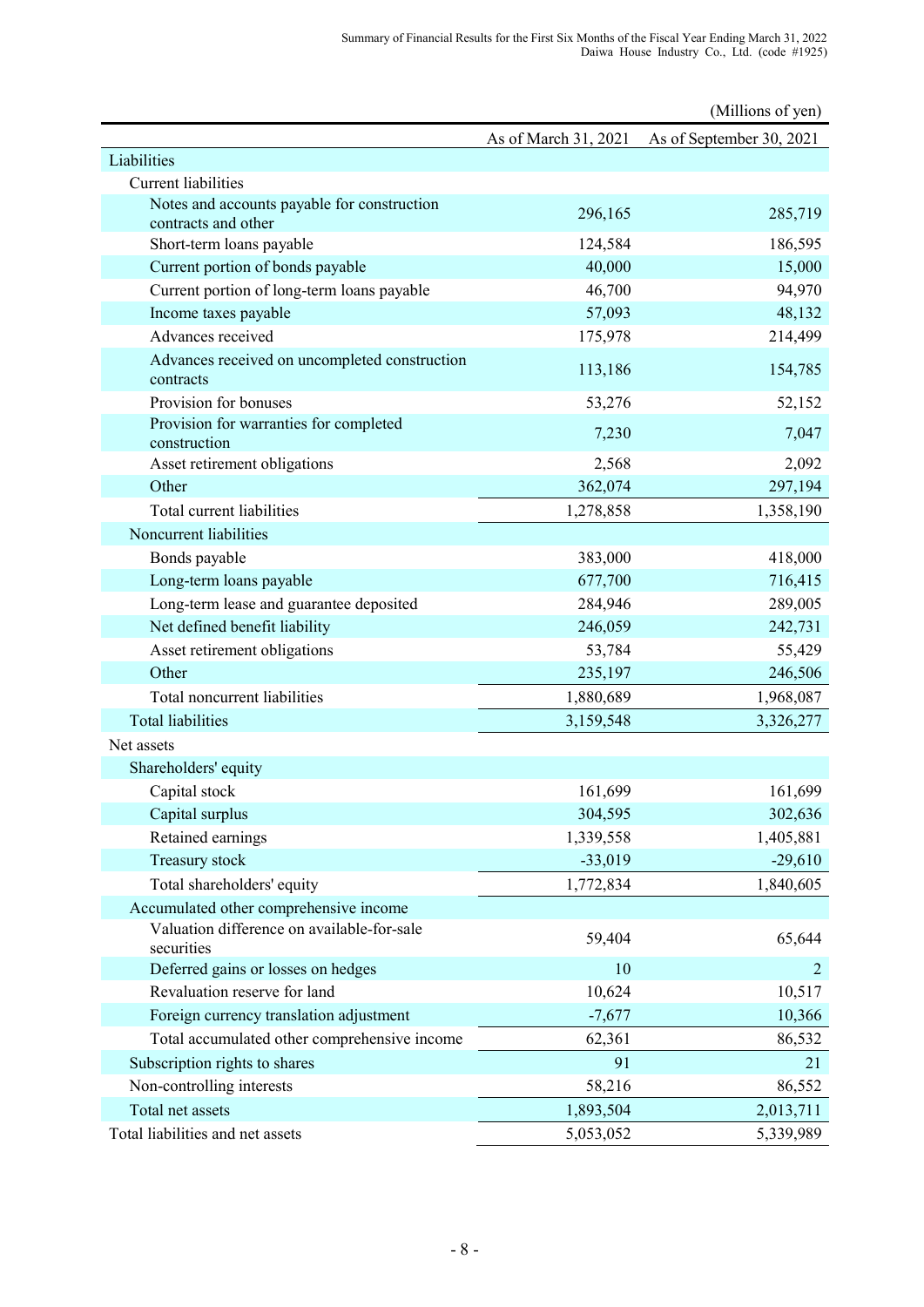|                                                                    |                      | (Millions of yen)        |
|--------------------------------------------------------------------|----------------------|--------------------------|
|                                                                    | As of March 31, 2021 | As of September 30, 2021 |
| Liabilities                                                        |                      |                          |
| <b>Current liabilities</b>                                         |                      |                          |
| Notes and accounts payable for construction<br>contracts and other | 296,165              | 285,719                  |
| Short-term loans payable                                           | 124,584              | 186,595                  |
| Current portion of bonds payable                                   | 40,000               | 15,000                   |
| Current portion of long-term loans payable                         | 46,700               | 94,970                   |
| Income taxes payable                                               | 57,093               | 48,132                   |
| Advances received                                                  | 175,978              | 214,499                  |
| Advances received on uncompleted construction<br>contracts         | 113,186              | 154,785                  |
| Provision for bonuses                                              | 53,276               | 52,152                   |
| Provision for warranties for completed<br>construction             | 7,230                | 7,047                    |
| Asset retirement obligations                                       | 2,568                | 2,092                    |
| Other                                                              | 362,074              | 297,194                  |
| Total current liabilities                                          | 1,278,858            | 1,358,190                |
| Noncurrent liabilities                                             |                      |                          |
| Bonds payable                                                      | 383,000              | 418,000                  |
| Long-term loans payable                                            | 677,700              | 716,415                  |
| Long-term lease and guarantee deposited                            | 284,946              | 289,005                  |
| Net defined benefit liability                                      | 246,059              | 242,731                  |
| Asset retirement obligations                                       | 53,784               | 55,429                   |
| Other                                                              | 235,197              | 246,506                  |
| Total noncurrent liabilities                                       | 1,880,689            | 1,968,087                |
| <b>Total liabilities</b>                                           | 3,159,548            | 3,326,277                |
| Net assets                                                         |                      |                          |
| Shareholders' equity                                               |                      |                          |
| Capital stock                                                      | 161,699              | 161,699                  |
| Capital surplus                                                    | 304,595              | 302,636                  |
| Retained earnings                                                  | 1,339,558            | 1,405,881                |
| Treasury stock                                                     | $-33,019$            | $-29,610$                |
| Total shareholders' equity                                         | 1,772,834            | 1,840,605                |
| Accumulated other comprehensive income                             |                      |                          |
| Valuation difference on available-for-sale<br>securities           | 59,404               | 65,644                   |
| Deferred gains or losses on hedges                                 | 10                   | $\overline{2}$           |
| Revaluation reserve for land                                       | 10,624               | 10,517                   |
| Foreign currency translation adjustment                            | $-7,677$             | 10,366                   |
| Total accumulated other comprehensive income                       | 62,361               | 86,532                   |
| Subscription rights to shares                                      | 91                   | 21                       |
| Non-controlling interests                                          | 58,216               | 86,552                   |
| Total net assets                                                   | 1,893,504            | 2,013,711                |
| Total liabilities and net assets                                   | 5,053,052            | 5,339,989                |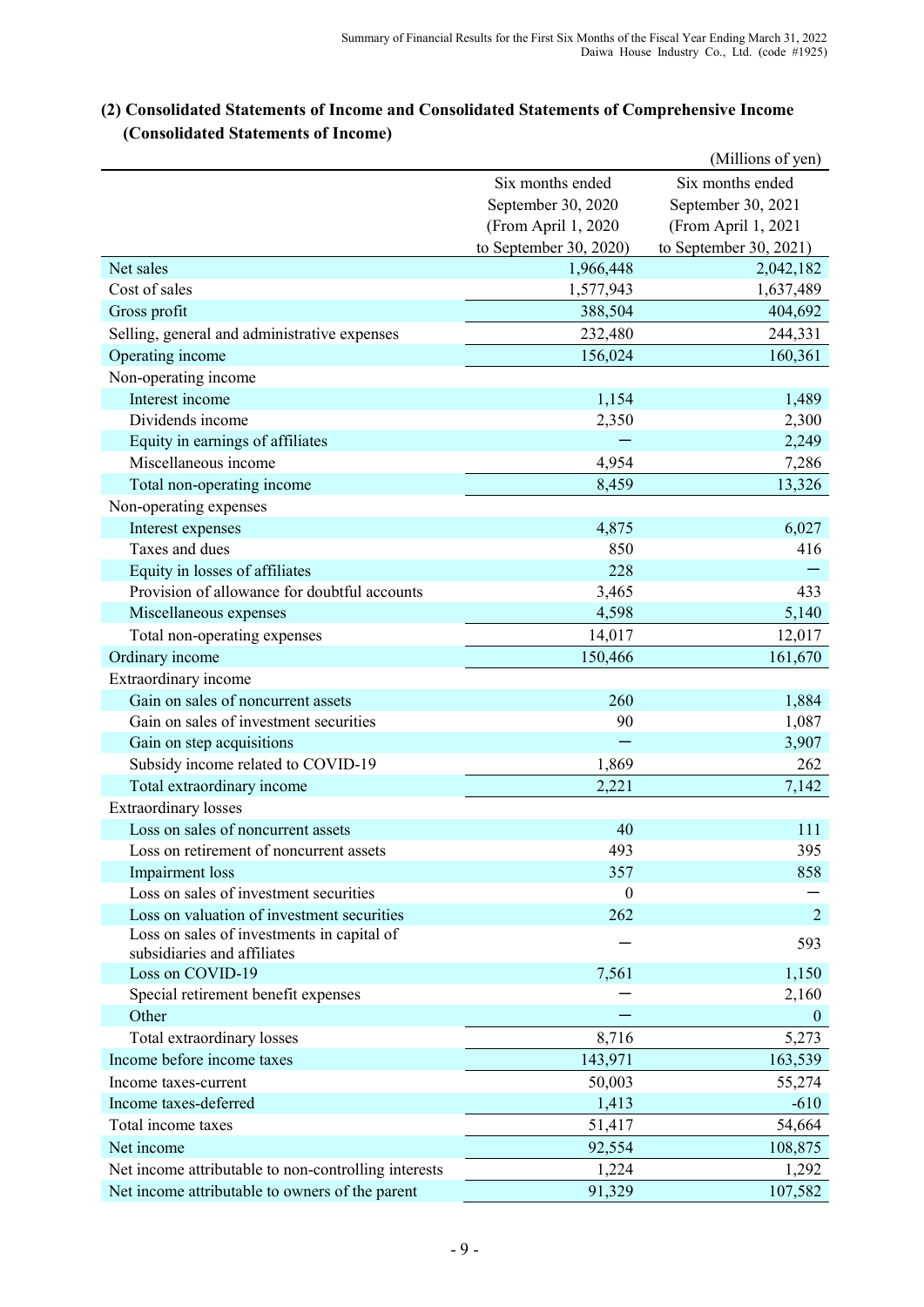|                                                      |                        | (Millions of yen)      |
|------------------------------------------------------|------------------------|------------------------|
|                                                      | Six months ended       | Six months ended       |
|                                                      | September 30, 2020     | September 30, 2021     |
|                                                      | (From April 1, 2020    | (From April 1, 2021    |
|                                                      | to September 30, 2020) | to September 30, 2021) |
| Net sales                                            | 1,966,448              | 2,042,182              |
| Cost of sales                                        | 1,577,943              | 1,637,489              |
| Gross profit                                         | 388,504                | 404,692                |
| Selling, general and administrative expenses         | 232,480                | 244,331                |
| Operating income                                     | 156,024                | 160,361                |
| Non-operating income                                 |                        |                        |
| Interest income                                      | 1,154                  | 1,489                  |
| Dividends income                                     | 2,350                  | 2,300                  |
| Equity in earnings of affiliates                     |                        | 2,249                  |
| Miscellaneous income                                 | 4,954                  | 7,286                  |
| Total non-operating income                           | 8,459                  | 13,326                 |
| Non-operating expenses                               |                        |                        |
| Interest expenses                                    | 4,875                  | 6,027                  |
| Taxes and dues                                       | 850                    | 416                    |
| Equity in losses of affiliates                       | 228                    |                        |
| Provision of allowance for doubtful accounts         | 3,465                  | 433                    |
| Miscellaneous expenses                               | 4,598                  | 5,140                  |
| Total non-operating expenses                         | 14,017                 | 12,017                 |
| Ordinary income                                      | 150,466                | 161,670                |
| Extraordinary income                                 |                        |                        |
| Gain on sales of noncurrent assets                   | 260                    | 1,884                  |
| Gain on sales of investment securities               | 90                     | 1,087                  |
| Gain on step acquisitions                            |                        | 3,907                  |
| Subsidy income related to COVID-19                   | 1,869                  | 262                    |
| Total extraordinary income                           | 2,221                  | 7,142                  |
| <b>Extraordinary losses</b>                          |                        |                        |
| Loss on sales of noncurrent assets                   | 40                     | 111                    |
| Loss on retirement of noncurrent assets              | 493                    | 395                    |
| Impairment loss                                      | 357                    | 858                    |
| Loss on sales of investment securities               | $\boldsymbol{0}$       |                        |
| Loss on valuation of investment securities           | 262                    | $\overline{2}$         |
| Loss on sales of investments in capital of           |                        |                        |
| subsidiaries and affiliates                          |                        | 593                    |
| Loss on COVID-19                                     | 7,561                  | 1,150                  |
| Special retirement benefit expenses                  |                        | 2,160                  |
| Other                                                |                        | $\theta$               |
| Total extraordinary losses                           | 8,716                  | 5,273                  |
| Income before income taxes                           | 143,971                | 163,539                |
| Income taxes-current                                 | 50,003                 | 55,274                 |
| Income taxes-deferred                                | 1,413                  | $-610$                 |
| Total income taxes                                   | 51,417                 | 54,664                 |
| Net income                                           | 92,554                 | 108,875                |
| Net income attributable to non-controlling interests | 1,224                  | 1,292                  |
| Net income attributable to owners of the parent      | 91,329                 | 107,582                |
|                                                      |                        |                        |

## **(2) Consolidated Statements of Income and Consolidated Statements of Comprehensive Income (Consolidated Statements of Income)**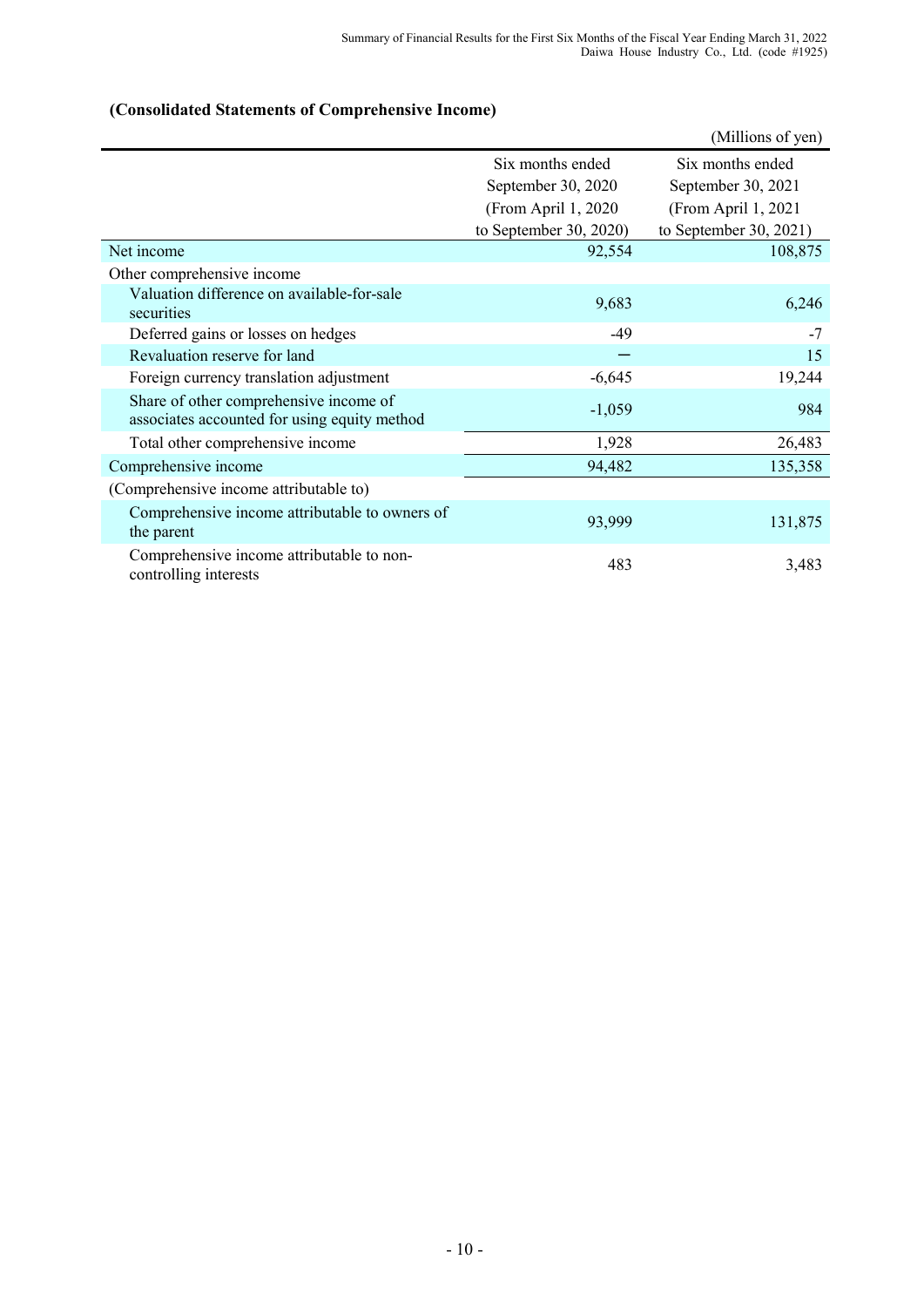## **(Consolidated Statements of Comprehensive Income)**

|                                                                                        |                        | (Millions of yen)      |
|----------------------------------------------------------------------------------------|------------------------|------------------------|
|                                                                                        | Six months ended       | Six months ended       |
|                                                                                        | September 30, 2020     | September 30, 2021     |
|                                                                                        | (From April 1, 2020)   | (From April 1, 2021)   |
|                                                                                        | to September 30, 2020) | to September 30, 2021) |
| Net income                                                                             | 92,554                 | 108,875                |
| Other comprehensive income                                                             |                        |                        |
| Valuation difference on available-for-sale<br>securities                               | 9,683                  | 6,246                  |
| Deferred gains or losses on hedges                                                     | $-49$                  | $-7$                   |
| Revaluation reserve for land                                                           |                        | 15                     |
| Foreign currency translation adjustment                                                | $-6,645$               | 19,244                 |
| Share of other comprehensive income of<br>associates accounted for using equity method | $-1,059$               | 984                    |
| Total other comprehensive income                                                       | 1,928                  | 26,483                 |
| Comprehensive income                                                                   | 94,482                 | 135,358                |
| (Comprehensive income attributable to)                                                 |                        |                        |
| Comprehensive income attributable to owners of<br>the parent                           | 93,999                 | 131,875                |
| Comprehensive income attributable to non-<br>controlling interests                     | 483                    | 3,483                  |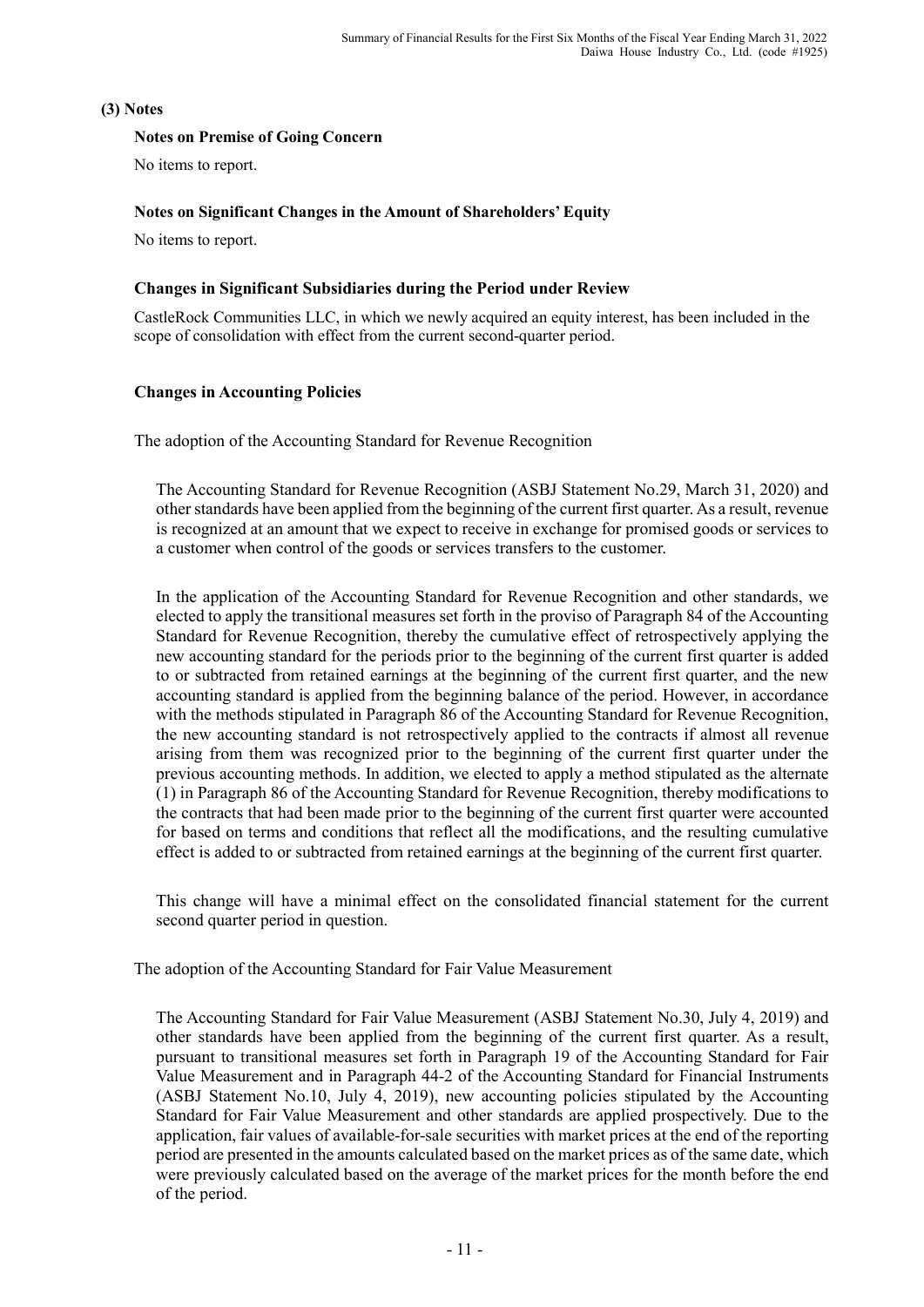### **(3) Notes**

### **Notes on Premise of Going Concern**

No items to report.

## **Notes on Significant Changes in the Amount of Shareholders' Equity**

No items to report.

### **Changes in Significant Subsidiaries during the Period under Review**

CastleRock Communities LLC, in which we newly acquired an equity interest, has been included in the scope of consolidation with effect from the current second-quarter period.

## **Changes in Accounting Policies**

The adoption of the Accounting Standard for Revenue Recognition

The Accounting Standard for Revenue Recognition (ASBJ Statement No.29, March 31, 2020) and other standards have been applied from the beginning of the current first quarter. As a result, revenue is recognized at an amount that we expect to receive in exchange for promised goods or services to a customer when control of the goods or services transfers to the customer.

In the application of the Accounting Standard for Revenue Recognition and other standards, we elected to apply the transitional measures set forth in the proviso of Paragraph 84 of the Accounting Standard for Revenue Recognition, thereby the cumulative effect of retrospectively applying the new accounting standard for the periods prior to the beginning of the current first quarter is added to or subtracted from retained earnings at the beginning of the current first quarter, and the new accounting standard is applied from the beginning balance of the period. However, in accordance with the methods stipulated in Paragraph 86 of the Accounting Standard for Revenue Recognition, the new accounting standard is not retrospectively applied to the contracts if almost all revenue arising from them was recognized prior to the beginning of the current first quarter under the previous accounting methods. In addition, we elected to apply a method stipulated as the alternate (1) in Paragraph 86 of the Accounting Standard for Revenue Recognition, thereby modifications to the contracts that had been made prior to the beginning of the current first quarter were accounted for based on terms and conditions that reflect all the modifications, and the resulting cumulative effect is added to or subtracted from retained earnings at the beginning of the current first quarter.

This change will have a minimal effect on the consolidated financial statement for the current second quarter period in question.

The adoption of the Accounting Standard for Fair Value Measurement

The Accounting Standard for Fair Value Measurement (ASBJ Statement No.30, July 4, 2019) and other standards have been applied from the beginning of the current first quarter. As a result, pursuant to transitional measures set forth in Paragraph 19 of the Accounting Standard for Fair Value Measurement and in Paragraph 44-2 of the Accounting Standard for Financial Instruments (ASBJ Statement No.10, July 4, 2019), new accounting policies stipulated by the Accounting Standard for Fair Value Measurement and other standards are applied prospectively. Due to the application, fair values of available-for-sale securities with market prices at the end of the reporting period are presented in the amounts calculated based on the market prices as of the same date, which were previously calculated based on the average of the market prices for the month before the end of the period.